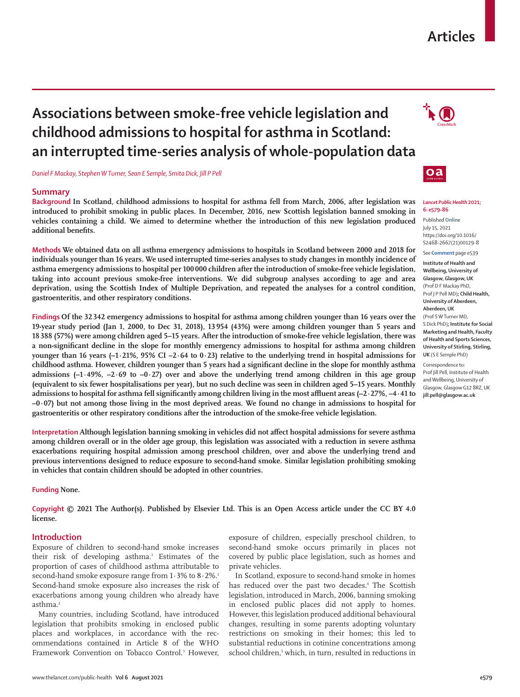## **Articles**

# **Associations between smoke-free vehicle legislation and childhood admissions to hospital for asthma in Scotland: an interrupted time-series analysis of whole-population data**

*Daniel F Mackay, Stephen W Turner, Sean E Semple, Smita Dick, Jill P Pell*

## **Summary**

**Background In Scotland, childhood admissions to hospital for asthma fell from March, 2006, after legislation was introduced to prohibit smoking in public places. In December, 2016, new Scottish legislation banned smoking in vehicles containing a child. We aimed to determine whether the introduction of this new legislation produced additional benefits.**

**Methods We obtained data on all asthma emergency admissions to hospitals in Scotland between 2000 and 2018 for individuals younger than 16 years. We used interrupted time-series analyses to study changes in monthly incidence of asthma emergency admissions to hospital per 100 000 children after the introduction of smoke-free vehicle legislation, taking into account previous smoke-free interventions. We did subgroup analyses according to age and area deprivation, using the Scottish Index of Multiple Deprivation, and repeated the analyses for a control condition, gastroenteritis, and other respiratory conditions.**

**Findings Of the 32 342 emergency admissions to hospital for asthma among children younger than 16 years over the 19-year study period (Jan 1, 2000, to Dec 31, 2018), 13 954 (43%) were among children younger than 5 years and 18 388 (57%) were among children aged 5–15 years. After the introduction of smoke-free vehicle legislation, there was a non-significant decline in the slope for monthly emergency admissions to hospital for asthma among children younger than 16 years (–1·21%, 95% CI –2·64 to 0·23) relative to the underlying trend in hospital admissions for childhood asthma. However, children younger than 5 years had a significant decline in the slope for monthly asthma**  admissions  $(-1.49\%, -2.69$  to  $-0.27)$  over and above the underlying trend among children in this age group **(equivalent to six fewer hospitalisations per year), but no such decline was seen in children aged 5–15 years. Monthly admissions to hospital for asthma fell significantly among children living in the most affluent areas (–2·27%, –4·41 to –0·07) but not among those living in the most deprived areas. We found no change in admissions to hospital for gastroenteritis or other respiratory conditions after the introduction of the smoke-free vehicle legislation.**

**Interpretation Although legislation banning smoking in vehicles did not affect hospital admissions for severe asthma among children overall or in the older age group, this legislation was associated with a reduction in severe asthma exacerbations requiring hospital admission among preschool children, over and above the underlying trend and previous interventions designed to reduce exposure to second-hand smoke. Similar legislation prohibiting smoking in vehicles that contain children should be adopted in other countries.**

#### **Funding None.**

**Copyright © 2021 The Author(s). Published by Elsevier Ltd. This is an Open Access article under the CC BY 4.0 license.**

## **Introduction**

Exposure of children to second-hand smoke increases their risk of developing asthma.<sup>1</sup> Estimates of the proportion of cases of childhood asthma attributable to second-hand smoke exposure range from  $1.3\%$  to  $8.2\%$ .<sup>1</sup> Second-hand smoke exposure also increases the risk of exacerbations among young children who already have asthma.<sup>2</sup>

Many countries, including Scotland, have introduced legislation that prohibits smoking in enclosed public places and workplaces, in accordance with the recommendations contained in Article 8 of the WHO Framework Convention on Tobacco Control.<sup>3</sup> However, exposure of children, especially preschool children, to second-hand smoke occurs primarily in places not covered by public place legislation, such as homes and private vehicles.

In Scotland, exposure to second-hand smoke in homes has reduced over the past two decades.<sup>4</sup> The Scottish legislation, introduced in March, 2006, banning smoking in enclosed public places did not apply to homes. However, this legislation produced additional behavioural changes, resulting in some parents adopting voluntary restrictions on smoking in their homes; this led to substantial reductions in cotinine concentrations among school children,<sup>5</sup> which, in turn, resulted in reductions in





#### *Lancet Public Health* **2021; 6: e579–86**

Published **Online** July 15, 2021 https://doi.org/10.1016/ S2468-2667(21)00129-8

See **Comment** page e539

**Institute of Health and Wellbeing, University of Glasgow, Glasgow, UK** (Prof D F Mackay PhD, Prof J P Pell MD)**; Child Health, University of Aberdeen, Aberdeen, UK** (Prof S W Turner MD,

S Dick PhD)**; Institute for Social Marketing and Health, Faculty of Health and Sports Sciences, University of Stirling, Stirling, UK** (S E Semple PhD)

Correspondence to: Prof Jill Pell, Institute of Health and Wellbeing, University of Glasgow, Glasgow G12 8RZ, UK **jill.pell@glasgow.ac.uk**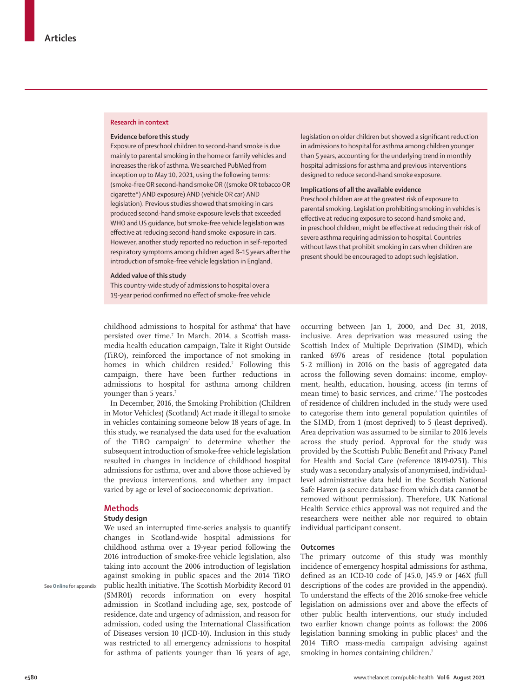#### **Research in context**

#### **Evidence before this study**

Exposure of preschool children to second-hand smoke is due mainly to parental smoking in the home or family vehicles and increases the risk of asthma. We searched PubMed from inception up to May 10, 2021, using the following terms: (smoke-free OR second-hand smoke OR ((smoke OR tobacco OR cigarette\*) AND exposure) AND (vehicle OR car) AND legislation). Previous studies showed that smoking in cars produced second-hand smoke exposure levels that exceeded WHO and US guidance, but smoke-free vehicle legislation was effective at reducing second-hand smoke exposure in cars. However, another study reported no reduction in self-reported respiratory symptoms among children aged 8–15 years after the introduction of smoke-free vehicle legislation in England.

#### **Added value of this study**

This country-wide study of admissions to hospital over a 19-year period confirmed no effect of smoke-free vehicle

childhood admissions to hospital for asthma<sup>6</sup> that have persisted over time.7 In March, 2014, a Scottish massmedia health education campaign, Take it Right Outside (TiRO), reinforced the importance of not smoking in homes in which children resided.7 Following this campaign, there have been further reductions in admissions to hospital for asthma among children younger than 5 years.<sup>7</sup>

In December, 2016, the Smoking Prohibition (Children in Motor Vehicles) (Scotland) Act made it illegal to smoke in vehicles containing someone below 18 years of age. In this study, we reanalysed the data used for the evaluation of the TiRO campaign<sup>7</sup> to determine whether the subsequent introduction of smoke-free vehicle legislation resulted in changes in incidence of childhood hospital admissions for asthma, over and above those achieved by the previous interventions, and whether any impact varied by age or level of socioeconomic deprivation.

## **Methods**

## **Study design**

We used an interrupted time-series analysis to quantify changes in Scotland-wide hospital admissions for childhood asthma over a 19-year period following the 2016 introduction of smoke-free vehicle legislation, also taking into account the 2006 introduction of legislation against smoking in public spaces and the 2014 TiRO public health initiative. The Scottish Morbidity Record 01 (SMR01) records information on every hospital admission in Scotland including age, sex, postcode of residence, date and urgency of admission, and reason for admission, coded using the International Classification of Diseases version 10 (ICD-10). Inclusion in this study was restricted to all emergency admissions to hospital for asthma of patients younger than 16 years of age,

legislation on older children but showed a significant reduction in admissions to hospital for asthma among children younger than 5 years, accounting for the underlying trend in monthly hospital admissions for asthma and previous interventions designed to reduce second-hand smoke exposure.

#### **Implications of all the available evidence**

Preschool children are at the greatest risk of exposure to parental smoking. Legislation prohibiting smoking in vehicles is effective at reducing exposure to second-hand smoke and, in preschool children, might be effective at reducing their risk of severe asthma requiring admission to hospital. Countries without laws that prohibit smoking in cars when children are present should be encouraged to adopt such legislation.

occurring between Jan 1, 2000, and Dec 31, 2018, inclusive. Area deprivation was measured using the Scottish Index of Multiple Deprivation (SIMD), which ranked 6976 areas of residence (total population 5∙2 million) in 2016 on the basis of aggregated data across the following seven domains: income, employment, health, education, housing, access (in terms of mean time) to basic services, and crime.<sup>8</sup> The postcodes of residence of children included in the study were used to categorise them into general population quintiles of the SIMD, from 1 (most deprived) to 5 (least deprived). Area deprivation was assumed to be similar to 2016 levels across the study period. Approval for the study was provided by the Scottish Public Benefit and Privacy Panel for Health and Social Care (reference 1819-0251). This study was a secondary analysis of anonymised, individuallevel administrative data held in the Scottish National Safe Haven (a secure database from which data cannot be removed without permission). Therefore, UK National Health Service ethics approval was not required and the researchers were neither able nor required to obtain individual participant consent.

#### **Outcomes**

The primary outcome of this study was monthly incidence of emergency hospital admissions for asthma, defined as an ICD-10 code of J45.0, J45.9 or J46X (full descriptions of the codes are provided in the appendix). To understand the effects of the 2016 smoke-free vehicle legislation on admissions over and above the effects of other public health interventions, our study included two earlier known change points as follows: the 2006 legislation banning smoking in public places<sup>6</sup> and the 2014 TiRO mass-media campaign advising against smoking in homes containing children.<sup>7</sup>

See **Online** for appendix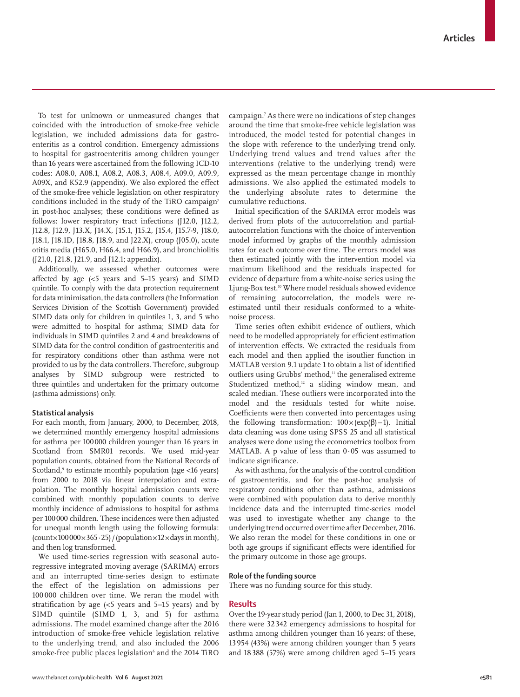To test for unknown or unmeasured changes that coincided with the introduction of smoke-free vehicle legislation, we included admissions data for gastroenteritis as a control condition. Emergency admissions to hospital for gastroenteritis among children younger than 16 years were ascertained from the following ICD-10 codes: A08.0, A08.1, A08.2, A08.3, A08.4, A09.0, A09.9, A09X, and K52.9 (appendix). We also explored the effect of the smoke-free vehicle legislation on other respiratory conditions included in the study of the TiRO campaign<sup>7</sup> in post-hoc analyses; these conditions were defined as follows: lower respiratory tract infections (J12.0, J12.2, J12.8, J12.9, J13.X, J14.X, J15.1, J15.2, J15.4, J15.7-9, J18.0, J18.1, J18.1D, J18.8, J18.9, and J22.X), croup (J05.0), acute otitis media (H65.0, H66.4, and H66.9), and bronchiolitis (J21.0, J21.8, J21.9, and J12.1; appendix).

Additionally, we assessed whether outcomes were affected by age  $\langle$  <5 years and 5–15 years) and SIMD quintile. To comply with the data protection requirement for data minimisation, the data controllers (the Information Services Division of the Scottish Government) provided SIMD data only for children in quintiles 1, 3, and 5 who were admitted to hospital for asthma; SIMD data for individuals in SIMD quintiles 2 and 4 and breakdowns of SIMD data for the control condition of gastroenteritis and for respiratory conditions other than asthma were not provided to us by the data controllers. Therefore, subgroup analyses by SIMD subgroup were restricted to three quintiles and undertaken for the primary outcome (asthma admissions) only.

## **Statistical analysis**

For each month, from January, 2000, to December, 2018, we determined monthly emergency hospital admissions for asthma per 100000 children younger than 16 years in Scotland from SMR01 records. We used mid-year population counts, obtained from the National Records of Scotland,<sup>9</sup> to estimate monthly population (age <16 years) from 2000 to 2018 via linear interpolation and extrapolation. The monthly hospital admission counts were combined with monthly population counts to derive monthly incidence of admissions to hospital for asthma per 100000 children. These incidences were then adjusted for unequal month length using the following formula:  $\frac{\text{(count} \times 100000 \times 365 \cdot 25)}{\text{(population} \times 12 \times \text{days in month)}}$ and then log transformed.

We used time-series regression with seasonal autoregressive integrated moving average (SARIMA) errors and an interrupted time-series design to estimate the effect of the legislation on admissions per 100 000 children over time. We reran the model with stratification by age (<5 years and 5–15 years) and by SIMD quintile (SIMD 1, 3, and 5) for asthma admissions. The model examined change after the 2016 introduction of smoke-free vehicle legislation relative to the underlying trend, and also included the 2006 smoke-free public places legislation<sup>6</sup> and the 2014 TiRO

campaign.7 As there were no indications of step changes around the time that smoke-free vehicle legislation was introduced, the model tested for potential changes in the slope with reference to the underlying trend only. Underlying trend values and trend values after the interventions (relative to the underlying trend) were expressed as the mean percentage change in monthly admissions. We also applied the estimated models to the underlying absolute rates to determine the cumulative reductions.

Initial specification of the SARIMA error models was derived from plots of the autocorrelation and partialautocorrelation functions with the choice of intervention model informed by graphs of the monthly admission rates for each outcome over time. The errors model was then estimated jointly with the intervention model via maximum likelihood and the residuals inspected for evidence of departure from a white-noise series using the Ljung-Box test.<sup>10</sup> Where model residuals showed evidence of remaining autocorrelation, the models were reestimated until their residuals conformed to a whitenoise process.

Time series often exhibit evidence of outliers, which need to be modelled appropriately for efficient estimation of intervention effects. We extracted the residuals from each model and then applied the isoutlier function in MATLAB version 9.1 update 1 to obtain a list of identified outliers using Grubbs' method,<sup>11</sup> the generalised extreme Studentized method,<sup>12</sup> a sliding window mean, and scaled median. These outliers were incorporated into the model and the residuals tested for white noise. Coefficients were then converted into percentages using the following transformation:  $100 \times (exp(β) - 1)$ . Initial data cleaning was done using SPSS 25 and all statistical analyses were done using the econometrics toolbox from MATLAB. A p value of less than 0·05 was assumed to indicate significance.

As with asthma, for the analysis of the control condition of gastroenteritis, and for the post-hoc analysis of respiratory conditions other than asthma, admissions were combined with population data to derive monthly incidence data and the interrupted time-series model was used to investigate whether any change to the underlying trend occurred over time after December, 2016. We also reran the model for these conditions in one or both age groups if significant effects were identified for the primary outcome in those age groups.

## **Role of the funding source**

There was no funding source for this study.

### **Results**

Over the 19-year study period (Jan 1, 2000, to Dec 31, 2018), there were 32342 emergency admissions to hospital for asthma among children younger than 16 years; of these, 13954 (43%) were among children younger than 5 years and 18 388 (57%) were among children aged 5–15 years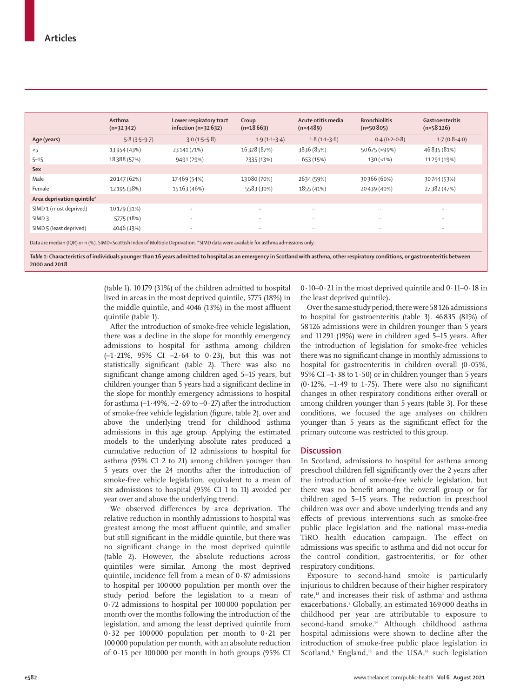|                                                                                                                                    | Asthma         | Lower respiratory tract | Croup          | Acute otitis media | <b>Bronchiolitis</b> | Gastroenteritis      |  |
|------------------------------------------------------------------------------------------------------------------------------------|----------------|-------------------------|----------------|--------------------|----------------------|----------------------|--|
|                                                                                                                                    | $(n=32342)$    | infection ( $n=32632$ ) | $(n=18663)$    | $(n=4489)$         | $(n=50805)$          | $(n=58126)$          |  |
| Age (years)                                                                                                                        | $5.8(3.5-9.7)$ | $3.0(1.5-5.8)$          | $1.9(1.1-3.4)$ | $1.8(1.1-3.6)$     | $0.4(0.2-0.8)$       | $1.7(0.8-4.0)$       |  |
| $<$ 5                                                                                                                              | 13 954 (43%)   | 23 141 (71%)            | 16328 (87%)    | 3836 (85%)         | 50 675 (>99%)        | 46 835 (81%)         |  |
| $5 - 15$                                                                                                                           | 18388 (57%)    | 9491 (29%)              | 2335 (13%)     | 653 (15%)          | $130 (-1%)$          | 11291 (19%)          |  |
| Sex                                                                                                                                |                |                         |                |                    |                      |                      |  |
| Male                                                                                                                               | 20147 (62%)    | 17469 (54%)             | 13080 (70%)    | 2634 (59%)         | 30366 (60%)          | 30744 (53%)          |  |
| Female                                                                                                                             | 12195 (38%)    | 15163 (46%)             | 5583 (30%)     | 1855 (41%)         | 20439 (40%)          | 27382 (47%)          |  |
| Area deprivation quintile*                                                                                                         |                |                         |                |                    |                      |                      |  |
| SIMD 1 (most deprived)                                                                                                             | 10179 (31%)    | $\ldots$                | $\cdot$ .      | $\ddotsc$          | $\ddotsc$            | $\ddot{\phantom{a}}$ |  |
| SIMD <sub>3</sub>                                                                                                                  | 5775 (18%)     | $\ddotsc$               | $\cdot$ .      | $\ddots$           | $\ddotsc$            | $\ddotsc$            |  |
| SIMD 5 (least deprived)                                                                                                            | 4046 (13%)     | $\ldots$                | $\cdots$       | $\ddots$           | $\ddotsc$            | $\ddotsc$            |  |
| Data are median (IQR) or n (%). SIMD=Scottish Index of Multiple Deprivation. *SIMD data were available for asthma admissions only. |                |                         |                |                    |                      |                      |  |

*Table 1:* **Characteristics of individuals younger than 16 years admitted to hospital as an emergency in Scotland with asthma, other respiratory conditions, or gastroenteritis between 2000 and 2018**

> (table 1). 10 179 (31%) of the children admitted to hospital lived in areas in the most deprived quintile, 5775 (18%) in the middle quintile, and 4046 (13%) in the most affluent quintile (table 1).

After the introduction of smoke-free vehicle legislation, there was a decline in the slope for monthly emergency admissions to hospital for asthma among children (–1·21%, 95% CI –2·64 to 0·23), but this was not statistically significant (table 2). There was also no significant change among children aged 5–15 years, but children younger than 5 years had a significant decline in the slope for monthly emergency admissions to hospital for asthma  $(-1.49\%, -2.69$  to  $-0.27$ ) after the introduction of smoke-free vehicle legislation (figure, table 2), over and above the underlying trend for childhood asthma admissions in this age group. Applying the estimated models to the underlying absolute rates produced a cumulative reduction of 12 admissions to hospital for asthma (95% CI 2 to 21) among children younger than 5 years over the 24 months after the introduction of smoke-free vehicle legislation, equivalent to a mean of six admissions to hospital (95% CI 1 to 11) avoided per year over and above the underlying trend.

We observed differences by area deprivation. The relative reduction in monthly admissions to hospital was greatest among the most affluent quintile, and smaller but still significant in the middle quintile, but there was no significant change in the most deprived quintile (table 2). However, the absolute reductions across quintiles were similar. Among the most deprived quintile, incidence fell from a mean of 0·87 admissions to hospital per 100000 population per month over the study period before the legislation to a mean of 0·72 admissions to hospital per 100 000 population per month over the months following the introduction of the legislation, and among the least deprived quintile from 0·32 per 100000 population per month to 0·21 per 100000 population per month, with an absolute reduction of 0·15 per 100000 per month in both groups (95% CI 0·10–0·21 in the most deprived quintile and 0·11–0·18 in the least deprived quintile).

Over the same study period, there were 58126 admissions to hospital for gastroenteritis (table 3). 46835 (81%) of 58126 admissions were in children younger than 5 years and 11291 (19%) were in children aged 5–15 years. After the introduction of legislation for smoke-free vehicles there was no significant change in monthly admissions to hospital for gastroenteritis in children overall (0·05%, 95% CI  $-1.38$  to 1 $\cdot$  50) or in children younger than 5 years  $(0.12\%, -1.49 \text{ to } 1.75)$ . There were also no significant changes in other respiratory conditions either overall or among children younger than 5 years (table 3). For these conditions, we focused the age analyses on children younger than 5 years as the significant effect for the primary outcome was restricted to this group.

## **Discussion**

In Scotland, admissions to hospital for asthma among preschool children fell significantly over the 2 years after the introduction of smoke-free vehicle legislation, but there was no benefit among the overall group or for children aged 5–15 years. The reduction in preschool children was over and above underlying trends and any effects of previous interventions such as smoke-free public place legislation and the national mass-media TiRO health education campaign. The effect on admissions was specific to asthma and did not occur for the control condition, gastroenteritis, or for other respiratory conditions.

Exposure to second-hand smoke is particularly injurious to children because of their higher respiratory rate, $13$  and increases their risk of asthma<sup>1</sup> and asthma exacerbations.<sup>2</sup> Globally, an estimated 169 000 deaths in childhood per year are attributable to exposure to second-hand smoke.<sup>14</sup> Although childhood asthma hospital admissions were shown to decline after the introduction of smoke-free public place legislation in Scotland,<sup>6</sup> England,<sup>15</sup> and the USA,<sup>16</sup> such legislation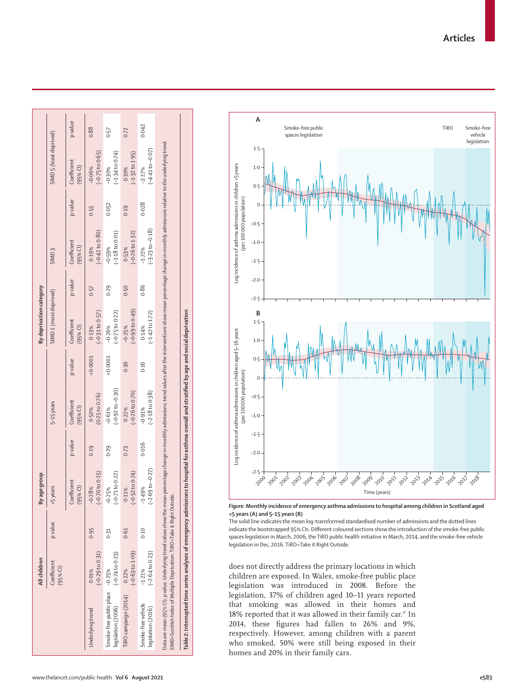|                                                                                                                                                                                                                                                                                                            | All children                        |         | age group<br>By                      |        |                                         |           | By deprivation category                            |         |                                         |         |                                        |          |
|------------------------------------------------------------------------------------------------------------------------------------------------------------------------------------------------------------------------------------------------------------------------------------------------------------|-------------------------------------|---------|--------------------------------------|--------|-----------------------------------------|-----------|----------------------------------------------------|---------|-----------------------------------------|---------|----------------------------------------|----------|
|                                                                                                                                                                                                                                                                                                            | Coefficient<br>(95% <sup>c</sup> )  | p value | <5 years                             |        | 5-15 years                              |           | SIMD <sub>1</sub> (most deprived)                  |         | SIMD <sub>3</sub>                       |         | SIMD 5 (least deprived)                |          |
|                                                                                                                                                                                                                                                                                                            |                                     |         | Coefficient<br>$(95%$ Cl)            | pvalue | Coefficient<br>$(95%$ Cl)               | p value   | Coefficient<br>$(95%$ Cl)                          | p value | Coefficient<br>$(95%$ CI)               | p value | Coefficient<br>$(95%$ CI)              | p value  |
| Underlying trend                                                                                                                                                                                                                                                                                           | $(-0.29 to 0.31)$<br>0.01%          | 0.95    | $(-0.70 to 0.15)$<br>$-0.28%$        | 0.19   | (0.25 to 0.76)<br>0.50%                 | $-0.0001$ | $(-0.31 to 0.57)$<br>0.13%                         | 0.57    | $(-0.42 to 0.80)$<br>0.19%              | 0.55    | $(-0.75 \text{ to } 0.65)$<br>$-0.06%$ | 0.88     |
| Smoke-free public place -0.25%<br>legislation (2006)                                                                                                                                                                                                                                                       | $(-0.74 \text{ to } 0.23)$          | 0.31    | $(-0.71$ to $0.22)$<br>$-0.25%$      | 0.29   | $(-0.92 \text{ to } -0.30)$<br>$-0.61%$ | $-0.0001$ | $(-0.75 to 0.22)$<br>$-0.26%$                      | 0.29    | $(-1.18$ to 0.01)<br>$-0.59%$           | 0.052   | $(-1.34 to 0.74)$<br>$-0.30%$          | 0.57     |
| TiRO campaign (2014)                                                                                                                                                                                                                                                                                       | $(-0.63 \text{ to } 1.09)$<br>0.22% | 0.61    | $(-0.52 \text{ to } 0.74)$<br>0.11%  | 0.73   | $(-0.26 \text{ to } 0.70)$<br>0.22%     | 0.36      | $(64.0 \text{ of } 9.0 \text{ of } 9)$<br>$-0.25%$ | 0.50    | $(-0.26 \text{ to } 1.32)$<br>0.53%     | 0.19    | $(-1.32$ to $1.95)$<br>0.30%           | $0 - 72$ |
| Smoke-free vehicle<br>legislation (2016)                                                                                                                                                                                                                                                                   | $(-2.64 to 0.23)$<br>$-1.21%$       | 0.10    | $-69$ to $-0.27$ )<br>$-1.49%$<br>G) | 0.016  | $(-2.18 \text{ to } 0.38)$<br>$-0.91%$  | 0.16      | $(-1.42 \text{ to } 1.72)$<br>0.14%                | 0.86    | $(-3.23 \text{ to } -0.18)$<br>$-1.72%$ | 0.028   | $-4.41$ to $-0.07$ )<br>$-2.27%$       | 0.042    |
| Data are mean (95% Cl); p value. Underlying trend values show the mean percentage change in monthly admissions; trend values after the interventions show mean percentage change in monthly admissions relative to the underly<br>SIMD=Scottish Index of Multiple Deprivation. TiRO=Take it Right Outside. |                                     |         |                                      |        |                                         |           |                                                    |         |                                         |         |                                        |          |
| Table 2: Interrupted time series analyses of emergency admissions to hospital for asthma overall and stratified by age and social deprivation                                                                                                                                                              |                                     |         |                                      |        |                                         |           |                                                    |         |                                         |         |                                        |          |



*Figure:* **Monthly incidence of emergency asthma admissions to hospital among children in Scotland aged <5 years (A) and 5–15 years (B)**

The solid line indicates the mean log-transformed standardised number of admissions and the dotted lines indicate the bootstrapped 95% CIs. Different coloured sections show the introduction of the smoke-free public spaces legislation in March, 2006, the TiRO public health initiative in March, 2014, and the smoke-free vehicle legislation in Dec, 2016. TiRO=Take it Right Outside.

does not directly address the primary locations in which children are exposed. In Wales, smoke-free public place legislation was introduced in 2008. Before the legislation, 37% of children aged 10–11 years reported that smoking was allowed in their homes and 18% reported that it was allowed in their family car.<sup>17</sup> In 2014, these figures had fallen to 26% and 9%, respectively. However, among children with a parent who smoked, 50% were still being exposed in their homes and 20% in their family cars.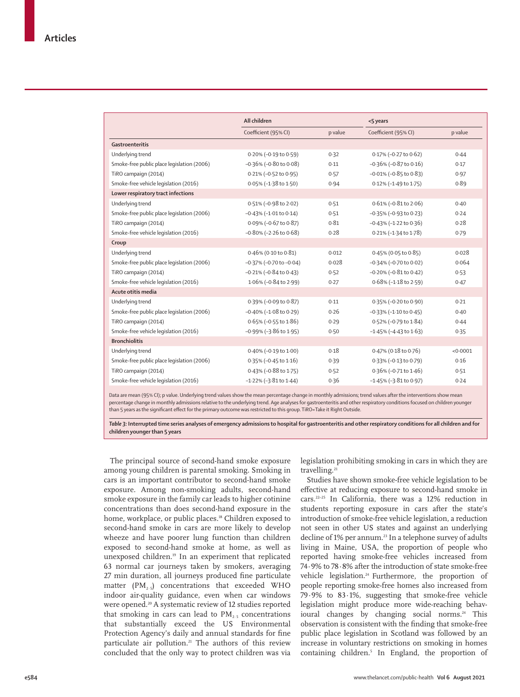|                                            | All children                     |         | <5 years                        |          |
|--------------------------------------------|----------------------------------|---------|---------------------------------|----------|
|                                            | Coefficient (95% CI)             | p value | Coefficient (95% CI)            | p value  |
| Gastroenteritis                            |                                  |         |                                 |          |
| Underlying trend                           | $0.20\%$ (-0.19 to 0.59)         | 0.32    | 0.17% (-0.27 to 0.62)           | 0.44     |
| Smoke-free public place legislation (2006) | $-0.36\%$ ( $-0.80$ to 0.08)     | 0.11    | $-0.36\%$ ( $-0.87$ to 0.16)    | 0.17     |
| TiRO campaign (2014)                       | 0.21% (-0.52 to 0.95)            | 0.57    | $-0.01\%$ ( $-0.85$ to $0.83$ ) | 0.97     |
| Smoke-free vehicle legislation (2016)      | 0.05% (-1.38 to 1.50)            | 0.94    | 0.12% (-1.49 to 1.75)           | 0.89     |
| Lower respiratory tract infections         |                                  |         |                                 |          |
| Underlying trend                           | 0.51% (-0.98 to 2.02)            | 0.51    | 0.61% (-0.81 to 2.06)           | 0.40     |
| Smoke-free public place legislation (2006) | $-0.43\%$ ( $-1.01$ to $0.14$ )  | 0.51    | $-0.35\%$ (-0.93 to 0.23)       | 0.24     |
| TiRO campaign (2014)                       | 0.09% (-0.67 to 0.87)            | 0.81    | $-0.43\%$ (-1.22 to 0.36)       | 0.28     |
| Smoke-free vehicle legislation (2016)      | $-0.80\%$ (-2.26 to 0.68)        | 0.28    | 0.21% (-1.34 to 1.78)           | 0.79     |
| Croup                                      |                                  |         |                                 |          |
| Underlying trend                           | 0.46% (0.10 to 0.81)             | 0.012   | $0.45\%$ (0.05 to 0.85)         | 0.028    |
| Smoke-free public place legislation (2006) | $-0.37\%$ ( $-0.70$ to $-0.04$ ) | 0.028   | $-0.34\%$ (-0.70 to 0.02)       | 0.064    |
| TiRO campaign (2014)                       | $-0.21\%$ ( $-0.84$ to $0.43$ )  | 0.52    | $-0.20\%$ ( $-0.81$ to $0.42$ ) | 0.53     |
| Smoke-free vehicle legislation (2016)      | 1.06% (-0.84 to 2.99)            | 0.27    | $0.68\%$ (-1.18 to 2.59)        | 0.47     |
| Acute otitis media                         |                                  |         |                                 |          |
| Underlying trend                           | 0.39% (-0.09 to 0.87)            | 0.11    | 0.35% (-0.20 to 0.90)           | 0.21     |
| Smoke-free public place legislation (2006) | $-0.40\%$ ( $-1.08$ to 0.29)     | 0.26    | $-0.33\%$ ( $-1.10$ to $0.45$ ) | 0.40     |
| TiRO campaign (2014)                       | $0.65\%$ (-0.55 to 1.86)         | 0.29    | 0.52% (-0.79 to 1.84)           | 0.44     |
| Smoke-free vehicle legislation (2016)      | $-0.99\%$ (-3.86 to 1.95)        | 0.50    | $-1.45\%$ ( $-4.43$ to $1.63$ ) | 0.35     |
| <b>Bronchiolitis</b>                       |                                  |         |                                 |          |
| Underlying trend                           | 0.40% (-0.19 to 1.00)            | 0.18    | 0.47% (0.18 to 0.76)            | < 0.0001 |
| Smoke-free public place legislation (2006) | $0.35\%$ (-0.45 to 1.16)         | 0.39    | $0.33\%$ (-0.13 to 0.79)        | 0.16     |
| TiRO campaign (2014)                       | $0.43\%$ (-0.88 to 1.75)         | 0.52    | $0.36\%$ (-0.71 to 1.46)        | 0.51     |
| Smoke-free vehicle legislation (2016)      | $-1.22\%$ ( $-3.81$ to $1.44$ )  | 0.36    | $-1.45\%$ ( $-3.81$ to 0.97)    | 0.24     |

Data are mean (95% CI); p value. Underlying trend values show the mean percentage change in monthly admissions; trend values after the interventions show mean percentage change in monthly admissions relative to the underlying trend. Age analyses for gastroenteritis and other respiratory conditions focused on children younger than 5 years as the significant effect for the primary outcome was restricted to this group. TiRO=Take it Right Outside.

*Table 3:* **Interrupted time series analyses of emergency admissions to hospital for gastroenteritis and other respiratory conditions for all children and for children younger than 5 years**

The principal source of second-hand smoke exposure among young children is parental smoking. Smoking in cars is an important contributor to second-hand smoke exposure. Among non-smoking adults, second-hand smoke exposure in the family car leads to higher cotinine concentrations than does second-hand exposure in the home, workplace, or public places.<sup>18</sup> Children exposed to second-hand smoke in cars are more likely to develop wheeze and have poorer lung function than children exposed to second-hand smoke at home, as well as unexposed children.<sup>19</sup> In an experiment that replicated 63 normal car journeys taken by smokers, averaging 27 min duration, all journeys produced fine particulate matter  $(PM, \epsilon)$  concentrations that exceeded WHO indoor air-quality guidance, even when car windows were opened.<sup>20</sup> A systematic review of 12 studies reported that smoking in cars can lead to  $PM<sub>2.5</sub>$  concentrations that substantially exceed the US Environmental Protection Agency's daily and annual standards for fine particulate air pollution.<sup>21</sup> The authors of this review concluded that the only way to protect children was via legislation prohibiting smoking in cars in which they are travelling.<sup>21</sup>

Studies have shown smoke-free vehicle legislation to be effective at reducing exposure to second-hand smoke in cars.22–25 In California, there was a 12% reduction in students reporting exposure in cars after the state's introduction of smoke-free vehicle legislation, a reduction not seen in other US states and against an underlying decline of 1% per annum.<sup>23</sup> In a telephone survey of adults living in Maine, USA, the proportion of people who reported having smoke-free vehicles increased from 74·9% to 78·8% after the introduction of state smoke-free vehicle legislation.<sup>24</sup> Furthermore, the proportion of people reporting smoke-free homes also increased from 79·9% to 83·1%, suggesting that smoke-free vehicle legislation might produce more wide-reaching behavioural changes by changing social norms.<sup>24</sup> This observation is consistent with the finding that smoke-free public place legislation in Scotland was followed by an increase in voluntary restrictions on smoking in homes containing children.5 In England, the proportion of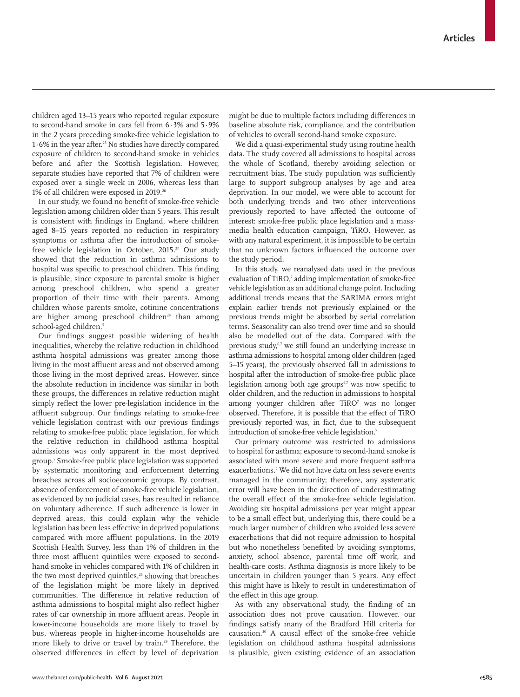children aged 13–15 years who reported regular exposure to second-hand smoke in cars fell from 6·3% and 5·9% in the 2 years preceding smoke-free vehicle legislation to 1·6% in the year after.25 No studies have directly compared exposure of children to second-hand smoke in vehicles before and after the Scottish legislation. However, separate studies have reported that 7% of children were exposed over a single week in 2006, whereas less than 1% of all children were exposed in 2019.26

In our study, we found no benefit of smoke-free vehicle legislation among children older than 5 years. This result is consistent with findings in England, where children aged 8–15 years reported no reduction in respiratory symptoms or asthma after the introduction of smokefree vehicle legislation in October, 2015.<sup>27</sup> Our study showed that the reduction in asthma admissions to hospital was specific to preschool children. This finding is plausible, since exposure to parental smoke is higher among preschool children, who spend a greater proportion of their time with their parents. Among children whose parents smoke, cotinine concentrations are higher among preschool children<sup>28</sup> than among school-aged children.<sup>5</sup>

Our findings suggest possible widening of health inequalities, whereby the relative reduction in childhood asthma hospital admissions was greater among those living in the most affluent areas and not observed among those living in the most deprived areas. However, since the absolute reduction in incidence was similar in both these groups, the differences in relative reduction might simply reflect the lower pre-legislation incidence in the affluent subgroup. Our findings relating to smoke-free vehicle legislation contrast with our previous findings relating to smoke-free public place legislation, for which the relative reduction in childhood asthma hospital admissions was only apparent in the most deprived group.7 Smoke-free public place legislation was supported by systematic monitoring and enforcement deterring breaches across all socioeconomic groups. By contrast, absence of enforcement of smoke-free vehicle legislation, as evidenced by no judicial cases, has resulted in reliance on voluntary adherence. If such adherence is lower in deprived areas, this could explain why the vehicle legislation has been less effective in deprived populations compared with more affluent populations. In the 2019 Scottish Health Survey, less than 1% of children in the three most affluent quintiles were exposed to secondhand smoke in vehicles compared with 1% of children in the two most deprived quintiles,<sup>26</sup> showing that breaches of the legislation might be more likely in deprived communities. The difference in relative reduction of asthma admissions to hospital might also reflect higher rates of car ownership in more affluent areas. People in lower-income households are more likely to travel by bus, whereas people in higher-income households are more likely to drive or travel by train.<sup>29</sup> Therefore, the observed differences in effect by level of deprivation

might be due to multiple factors including differences in baseline absolute risk, compliance, and the contribution of vehicles to overall second-hand smoke exposure.

We did a quasi-experimental study using routine health data. The study covered all admissions to hospital across the whole of Scotland, thereby avoiding selection or recruitment bias. The study population was sufficiently large to support subgroup analyses by age and area deprivation. In our model, we were able to account for both underlying trends and two other interventions previously reported to have affected the outcome of interest: smoke-free public place legislation and a massmedia health education campaign, TiRO. However, as with any natural experiment, it is impossible to be certain that no unknown factors influenced the outcome over the study period.

In this study, we reanalysed data used in the previous evaluation of TiRO,<sup>7</sup> adding implementation of smoke-free vehicle legislation as an additional change point. Including additional trends means that the SARIMA errors might explain earlier trends not previously explained or the previous trends might be absorbed by serial correlation terms. Seasonality can also trend over time and so should also be modelled out of the data. Compared with the previous study,<sup>6,7</sup> we still found an underlying increase in asthma admissions to hospital among older children (aged 5–15 years), the previously observed fall in admissions to hospital after the introduction of smoke-free public place legislation among both age groups $67$  was now specific to older children, and the reduction in admissions to hospital among younger children after TiRO<sup>7</sup> was no longer observed. Therefore, it is possible that the effect of TiRO previously reported was, in fact, due to the subsequent introduction of smoke-free vehicle legislation.7

Our primary outcome was restricted to admissions to hospital for asthma; exposure to second-hand smoke is associated with more severe and more frequent asthma exacerbations.<sup>2</sup> We did not have data on less severe events managed in the community; therefore, any systematic error will have been in the direction of underestimating the overall effect of the smoke-free vehicle legislation. Avoiding six hospital admissions per year might appear to be a small effect but, underlying this, there could be a much larger number of children who avoided less severe exacerbations that did not require admission to hospital but who nonetheless benefited by avoiding symptoms, anxiety, school absence, parental time off work, and health-care costs. Asthma diagnosis is more likely to be uncertain in children younger than 5 years. Any effect this might have is likely to result in underestimation of the effect in this age group.

As with any observational study, the finding of an association does not prove causation. However, our findings satisfy many of the Bradford Hill criteria for causation.30 A causal effect of the smoke-free vehicle legislation on childhood asthma hospital admissions is plausible, given existing evidence of an association